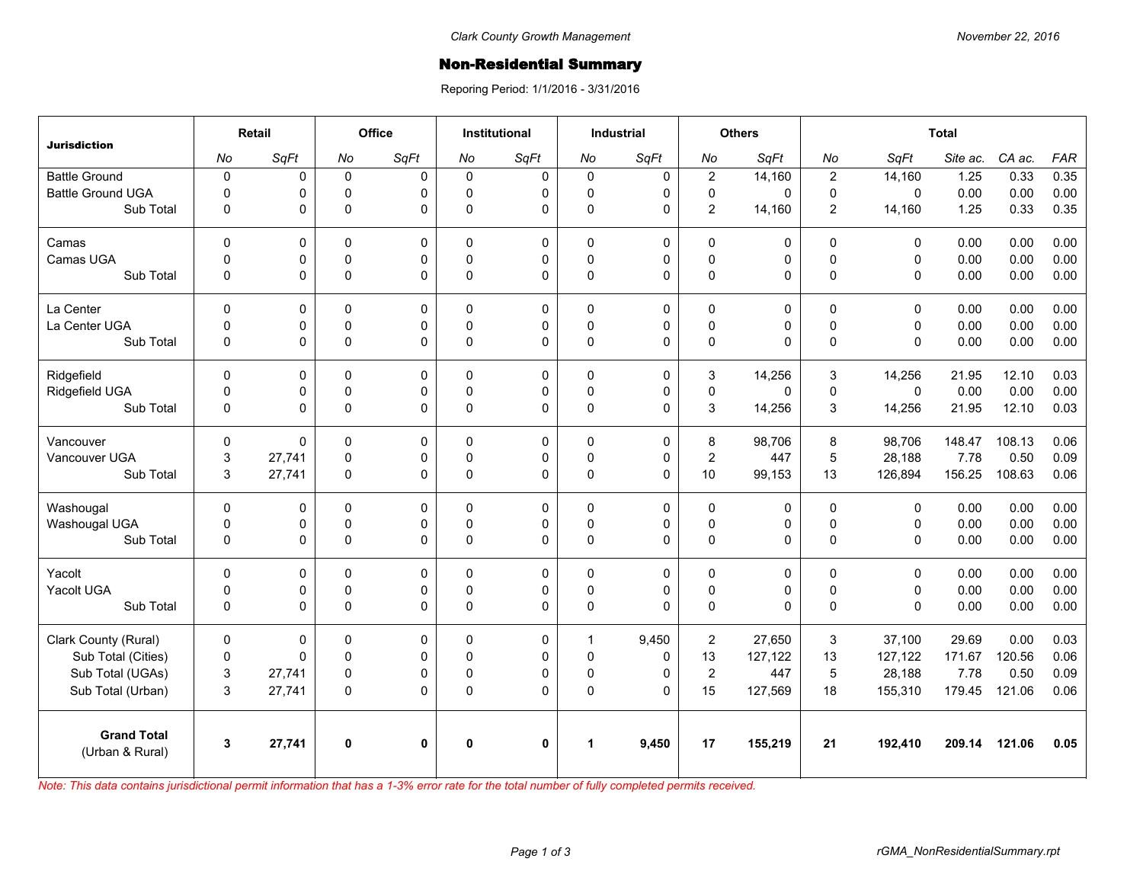## Non-Residential Summary

Reporing Period: 1/1/2016 - 3/31/2016

| <b>Jurisdiction</b>                   | Retail       |        | Office      |              | <b>Institutional</b> |              | <b>Industrial</b>    |             | <b>Others</b>  |         | <b>Total</b>     |              |          |        |            |
|---------------------------------------|--------------|--------|-------------|--------------|----------------------|--------------|----------------------|-------------|----------------|---------|------------------|--------------|----------|--------|------------|
|                                       | No           | SqFt   | No          | SqFt         | No                   | SqFt         | No                   | SqFt        | No             | SqFt    | No               | SqFt         | Site ac. | CA ac. | <b>FAR</b> |
| <b>Battle Ground</b>                  | $\pmb{0}$    | 0      | $\mathbf 0$ | $\Omega$     | 0                    | 0            | $\mathbf 0$          | 0           | $\mathbf 2$    | 14,160  | $\boldsymbol{2}$ | 14,160       | 1.25     | 0.33   | 0.35       |
| <b>Battle Ground UGA</b>              | $\Omega$     | 0      | $\mathbf 0$ | $\Omega$     | $\Omega$             | 0            | $\Omega$             | $\mathbf 0$ | $\mathbf 0$    | 0       | $\mathbf 0$      | $\mathbf{0}$ | 0.00     | 0.00   | 0.00       |
| Sub Total                             | 0            | 0      | $\mathbf 0$ | $\Omega$     | $\mathbf{0}$         | $\Omega$     | $\pmb{0}$            | 0           | $\overline{2}$ | 14,160  | $\overline{2}$   | 14,160       | 1.25     | 0.33   | 0.35       |
| Camas                                 | $\Omega$     | 0      | $\Omega$    | $\Omega$     | $\Omega$             | $\mathbf 0$  | $\Omega$             | $\mathbf 0$ | $\Omega$       | 0       | $\Omega$         | $\mathbf{0}$ | 0.00     | 0.00   | 0.00       |
| Camas UGA                             | $\mathbf 0$  | 0      | $\pmb{0}$   | 0            | $\Omega$             | 0            | $\pmb{0}$            | 0           | $\pmb{0}$      | 0       | $\mathbf 0$      | $\mathbf 0$  | 0.00     | 0.00   | 0.00       |
| Sub Total                             | $\mathbf 0$  | 0      | $\pmb{0}$   | $\Omega$     | $\Omega$             | $\Omega$     | $\Omega$             | $\Omega$    | $\pmb{0}$      | 0       | $\Omega$         | $\mathbf{0}$ | 0.00     | 0.00   | 0.00       |
| La Center                             | $\mathbf 0$  | 0      | $\mathbf 0$ | $\mathbf 0$  | $\Omega$             | 0            | $\mathbf 0$          | 0           | $\pmb{0}$      | 0       | $\mathbf 0$      | $\mathbf 0$  | 0.00     | 0.00   | 0.00       |
| La Center UGA                         | 0            | 0      | $\mathbf 0$ | 0            | $\Omega$             | 0            | $\mathbf 0$          | $\mathbf 0$ | $\mathbf 0$    | 0       | $\pmb{0}$        | $\mathbf 0$  | 0.00     | 0.00   | 0.00       |
| Sub Total                             | $\mathbf 0$  | 0      | $\pmb{0}$   | $\Omega$     | $\Omega$             | 0            | $\pmb{0}$            | $\Omega$    | $\pmb{0}$      | 0       | $\mathbf{0}$     | $\mathbf{0}$ | 0.00     | 0.00   | 0.00       |
| Ridgefield                            | $\Omega$     | 0      | 0           | $\Omega$     | 0                    | 0            | $\Omega$             | 0           | 3              | 14,256  | 3                | 14,256       | 21.95    | 12.10  | 0.03       |
| Ridgefield UGA                        | 0            | 0      | 0           | 0            | $\mathbf 0$          | 0            | $\mathsf 0$          | $\mathsf 0$ | $\mathsf 0$    | 0       | $\pmb{0}$        | $\mathsf 0$  | 0.00     | 0.00   | 0.00       |
| Sub Total                             | $\mathbf 0$  | 0      | $\pmb{0}$   | $\Omega$     | $\Omega$             | 0            | $\pmb{0}$            | $\Omega$    | 3              | 14,256  | 3                | 14,256       | 21.95    | 12.10  | 0.03       |
| Vancouver                             | $\mathbf{0}$ | 0      | $\mathbf 0$ | $\Omega$     | $\Omega$             | $\Omega$     | $\Omega$             | $\mathbf 0$ | 8              | 98,706  | 8                | 98,706       | 148.47   | 108.13 | 0.06       |
| Vancouver UGA                         | 3            | 27,741 | $\mathbf 0$ | 0            | $\Omega$             | 0            | $\mathbf 0$          | $\pmb{0}$   | $\overline{2}$ | 447     | 5                | 28,188       | 7.78     | 0.50   | 0.09       |
| Sub Total                             | 3            | 27,741 | $\mathbf 0$ | $\Omega$     | $\mathbf{0}$         | 0            | $\pmb{0}$            | $\mathbf 0$ | 10             | 99,153  | 13               | 126,894      | 156.25   | 108.63 | 0.06       |
| Washougal                             | $\mathbf 0$  | 0      | 0           | 0            | 0                    | 0            | 0                    | $\mathbf 0$ | 0              | 0       | $\pmb{0}$        | $\mathbf 0$  | 0.00     | 0.00   | 0.00       |
| Washougal UGA                         | 0            | 0      | $\mathbf 0$ | $\Omega$     | $\mathbf{0}$         | 0            | $\mathbf 0$          | 0           | $\pmb{0}$      | 0       | $\pmb{0}$        | $\mathbf 0$  | 0.00     | 0.00   | 0.00       |
| Sub Total                             | 0            | 0      | $\pmb{0}$   | $\Omega$     | $\mathbf 0$          | $\Omega$     | $\pmb{0}$            | $\Omega$    | $\pmb{0}$      | 0       | $\pmb{0}$        | $\mathbf 0$  | 0.00     | 0.00   | 0.00       |
| Yacolt                                | $\Omega$     | 0      | 0           | $\Omega$     | $\Omega$             | 0            | $\Omega$             | 0           | $\mathbf 0$    | 0       | $\Omega$         | $\mathbf{0}$ | 0.00     | 0.00   | 0.00       |
| Yacolt UGA                            | 0            | 0      | 0           | 0            | $\Omega$             | 0            | 0                    | 0           | $\mathsf 0$    | 0       | $\pmb{0}$        | $\mathsf 0$  | 0.00     | 0.00   | 0.00       |
| Sub Total                             | $\mathbf 0$  | 0      | $\Omega$    | $\Omega$     | $\Omega$             | $\Omega$     | $\Omega$             | $\Omega$    | $\pmb{0}$      | 0       | $\mathbf{0}$     | $\Omega$     | 0.00     | 0.00   | 0.00       |
| Clark County (Rural)                  | $\mathbf 0$  | 0      | $\mathbf 0$ | 0            | $\Omega$             | 0            | $\mathbf{1}$         | 9,450       | $\overline{c}$ | 27,650  | 3                | 37,100       | 29.69    | 0.00   | 0.03       |
| Sub Total (Cities)                    | $\pmb{0}$    | 0      | $\mathbf 0$ | $\Omega$     | $\Omega$             | 0            | $\mathbf 0$          | $\Omega$    | 13             | 127,122 | 13               | 127,122      | 171.67   | 120.56 | 0.06       |
| Sub Total (UGAs)                      | 3            | 27,741 | 0           | 0            | $\Omega$             | 0            | 0                    | $\mathbf 0$ | $\mathbf 2$    | 447     | $\overline{5}$   | 28,188       | 7.78     | 0.50   | 0.09       |
| Sub Total (Urban)                     | 3            | 27,741 | $\mathbf 0$ | $\Omega$     | $\Omega$             | 0            | $\pmb{0}$            | $\Omega$    | 15             | 127,569 | 18               | 155,310      | 179.45   | 121.06 | 0.06       |
| <b>Grand Total</b><br>(Urban & Rural) | 3            | 27,741 | $\mathbf 0$ | $\mathbf{0}$ | $\bf{0}$             | $\mathbf{0}$ | $\blacktriangleleft$ | 9,450       | 17             | 155,219 | 21               | 192,410      | 209.14   | 121.06 | 0.05       |

*Note: This data contains jurisdictional permit information that has a 1-3% error rate for the total number of fully completed permits received.*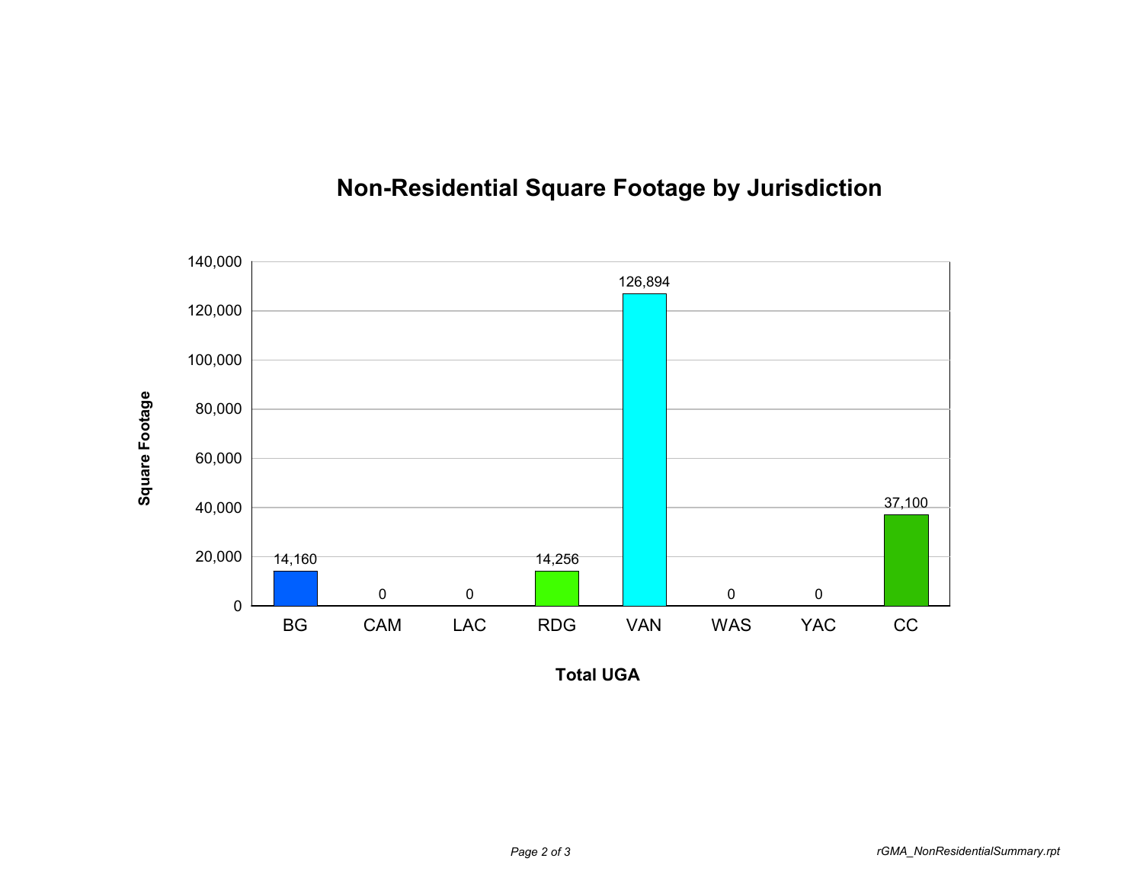

## **Non-Residential Square Footage by Jurisdiction**

**Total UGA**